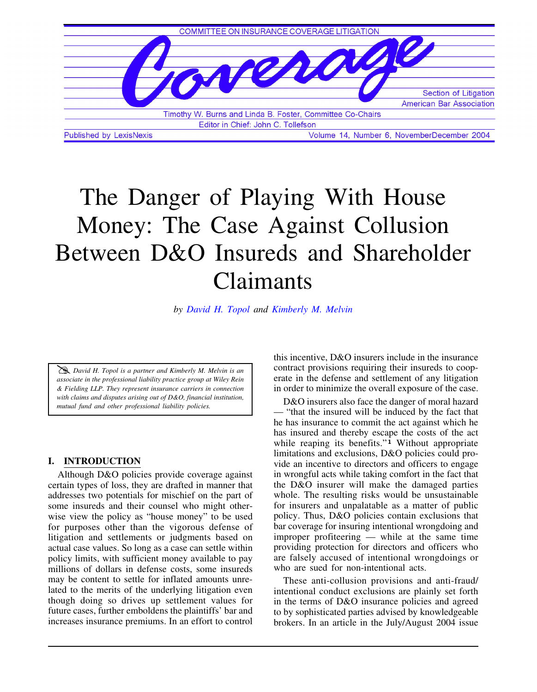

# The Danger of Playing With House Money: The Case Against Collusion Between D&O Insureds and Shareholder Claimants

*b[y David H. Topol](http://www.wrf.com/attorney/bio.asp?ID=T598934353) and [Kimberly M. Melvin](http://www.wrf.com/attorney/bio.asp?ID=K597027004)*

h *David H. Topol is a partner and Kimberly M. Melvin is an associate in the professional liability practice group at Wiley Rein & Fielding LLP. They represent insurance carriers in connection with claims and disputes arising out of D&O, financial institution, mutual fund and other professional liability policies.*

#### **I. INTRODUCTION**

Although D&O policies provide coverage against certain types of loss, they are drafted in manner that addresses two potentials for mischief on the part of some insureds and their counsel who might otherwise view the policy as "house money" to be used for purposes other than the vigorous defense of litigation and settlements or judgments based on actual case values. So long as a case can settle within policy limits, with sufficient money available to pay millions of dollars in defense costs, some insureds may be content to settle for inflated amounts unrelated to the merits of the underlying litigation even though doing so drives up settlement values for future cases, further emboldens the plaintiffs' bar and increases insurance premiums. In an effort to control

this incentive, D&O insurers include in the insurance contract provisions requiring their insureds to cooperate in the defense and settlement of any litigation in order to minimize the overall exposure of the case.

D&O insurers also face the danger of moral hazard — "that the insured will be induced by the fact that he has insurance to commit the act against which he has insured and thereby escape the costs of the act while reaping its benefits."**1** Without appropriate limitations and exclusions, D&O policies could provide an incentive to directors and officers to engage in wrongful acts while taking comfort in the fact that the D&O insurer will make the damaged parties whole. The resulting risks would be unsustainable for insurers and unpalatable as a matter of public policy. Thus, D&O policies contain exclusions that bar coverage for insuring intentional wrongdoing and improper profiteering — while at the same time providing protection for directors and officers who are falsely accused of intentional wrongdoings or who are sued for non-intentional acts.

These anti-collusion provisions and anti-fraud/ intentional conduct exclusions are plainly set forth in the terms of D&O insurance policies and agreed to by sophisticated parties advised by knowledgeable brokers. In an article in the July/August 2004 issue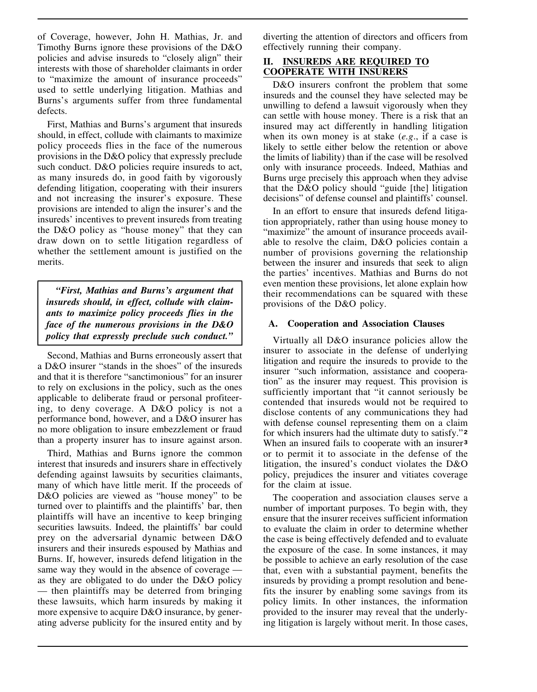of Coverage, however, John H. Mathias, Jr. and Timothy Burns ignore these provisions of the D&O policies and advise insureds to "closely align" their interests with those of shareholder claimants in order to "maximize the amount of insurance proceeds" used to settle underlying litigation. Mathias and Burns's arguments suffer from three fundamental defects.

First, Mathias and Burns's argument that insureds should, in effect, collude with claimants to maximize policy proceeds flies in the face of the numerous provisions in the D&O policy that expressly preclude such conduct. D&O policies require insureds to act, as many insureds do, in good faith by vigorously defending litigation, cooperating with their insurers and not increasing the insurer's exposure. These provisions are intended to align the insurer's and the insureds' incentives to prevent insureds from treating the D&O policy as "house money" that they can draw down on to settle litigation regardless of whether the settlement amount is justified on the merits.

*"First, Mathias and Burns's argument that insureds should, in effect, collude with claimants to maximize policy proceeds flies in the face of the numerous provisions in the D&O policy that expressly preclude such conduct."*

Second, Mathias and Burns erroneously assert that a D&O insurer "stands in the shoes" of the insureds and that it is therefore "sanctimonious" for an insurer to rely on exclusions in the policy, such as the ones applicable to deliberate fraud or personal profiteering, to deny coverage. A D&O policy is not a performance bond, however, and a D&O insurer has no more obligation to insure embezzlement or fraud than a property insurer has to insure against arson.

Third, Mathias and Burns ignore the common interest that insureds and insurers share in effectively defending against lawsuits by securities claimants, many of which have little merit. If the proceeds of D&O policies are viewed as "house money" to be turned over to plaintiffs and the plaintiffs' bar, then plaintiffs will have an incentive to keep bringing securities lawsuits. Indeed, the plaintiffs' bar could prey on the adversarial dynamic between D&O insurers and their insureds espoused by Mathias and Burns. If, however, insureds defend litigation in the same way they would in the absence of coverage as they are obligated to do under the D&O policy — then plaintiffs may be deterred from bringing these lawsuits, which harm insureds by making it more expensive to acquire D&O insurance, by generating adverse publicity for the insured entity and by diverting the attention of directors and officers from effectively running their company.

## **II. INSUREDS ARE REQUIRED TO COOPERATE WITH INSURERS**

D&O insurers confront the problem that some insureds and the counsel they have selected may be unwilling to defend a lawsuit vigorously when they can settle with house money. There is a risk that an insured may act differently in handling litigation when its own money is at stake (*e.g*., if a case is likely to settle either below the retention or above the limits of liability) than if the case will be resolved only with insurance proceeds. Indeed, Mathias and Burns urge precisely this approach when they advise that the D&O policy should "guide [the] litigation decisions" of defense counsel and plaintiffs' counsel.

In an effort to ensure that insureds defend litigation appropriately, rather than using house money to "maximize" the amount of insurance proceeds available to resolve the claim, D&O policies contain a number of provisions governing the relationship between the insurer and insureds that seek to align the parties' incentives. Mathias and Burns do not even mention these provisions, let alone explain how their recommendations can be squared with these provisions of the D&O policy.

### **A. Cooperation and Association Clauses**

Virtually all D&O insurance policies allow the insurer to associate in the defense of underlying litigation and require the insureds to provide to the insurer "such information, assistance and cooperation" as the insurer may request. This provision is sufficiently important that "it cannot seriously be contended that insureds would not be required to disclose contents of any communications they had with defense counsel representing them on a claim for which insurers had the ultimate duty to satisfy."**<sup>2</sup>** When an insured fails to cooperate with an insurer**<sup>3</sup>** or to permit it to associate in the defense of the litigation, the insured's conduct violates the D&O policy, prejudices the insurer and vitiates coverage for the claim at issue.

The cooperation and association clauses serve a number of important purposes. To begin with, they ensure that the insurer receives sufficient information to evaluate the claim in order to determine whether the case is being effectively defended and to evaluate the exposure of the case. In some instances, it may be possible to achieve an early resolution of the case that, even with a substantial payment, benefits the insureds by providing a prompt resolution and benefits the insurer by enabling some savings from its policy limits. In other instances, the information provided to the insurer may reveal that the underlying litigation is largely without merit. In those cases,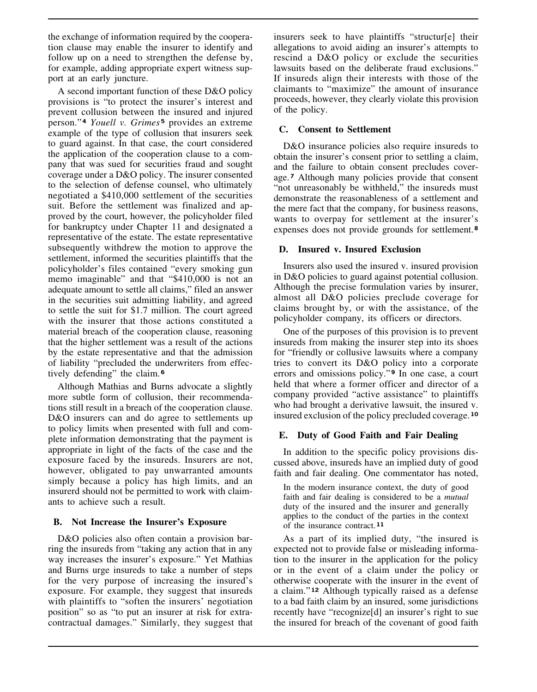the exchange of information required by the cooperation clause may enable the insurer to identify and follow up on a need to strengthen the defense by, for example, adding appropriate expert witness support at an early juncture.

A second important function of these D&O policy provisions is "to protect the insurer's interest and prevent collusion between the insured and injured person."**<sup>4</sup>** *Youell v. Grimes* **<sup>5</sup>** provides an extreme example of the type of collusion that insurers seek to guard against. In that case, the court considered the application of the cooperation clause to a company that was sued for securities fraud and sought coverage under a D&O policy. The insurer consented to the selection of defense counsel, who ultimately negotiated a \$410,000 settlement of the securities suit. Before the settlement was finalized and approved by the court, however, the policyholder filed for bankruptcy under Chapter 11 and designated a representative of the estate. The estate representative subsequently withdrew the motion to approve the settlement, informed the securities plaintiffs that the policyholder's files contained "every smoking gun memo imaginable" and that "\$410,000 is not an adequate amount to settle all claims," filed an answer in the securities suit admitting liability, and agreed to settle the suit for \$1.7 million. The court agreed with the insurer that those actions constituted a material breach of the cooperation clause, reasoning that the higher settlement was a result of the actions by the estate representative and that the admission of liability "precluded the underwriters from effectively defending" the claim.**<sup>6</sup>**

Although Mathias and Burns advocate a slightly more subtle form of collusion, their recommendations still result in a breach of the cooperation clause. D&O insurers can and do agree to settlements up to policy limits when presented with full and complete information demonstrating that the payment is appropriate in light of the facts of the case and the exposure faced by the insureds. Insurers are not, however, obligated to pay unwarranted amounts simply because a policy has high limits, and an insurerd should not be permitted to work with claimants to achieve such a result.

#### **B. Not Increase the Insurer's Exposure**

D&O policies also often contain a provision barring the insureds from "taking any action that in any way increases the insurer's exposure." Yet Mathias and Burns urge insureds to take a number of steps for the very purpose of increasing the insured's exposure. For example, they suggest that insureds with plaintiffs to "soften the insurers' negotiation position" so as "to put an insurer at risk for extracontractual damages." Similarly, they suggest that insurers seek to have plaintiffs "structur[e] their allegations to avoid aiding an insurer's attempts to rescind a D&O policy or exclude the securities lawsuits based on the deliberate fraud exclusions." If insureds align their interests with those of the claimants to "maximize" the amount of insurance proceeds, however, they clearly violate this provision of the policy.

## **C. Consent to Settlement**

D&O insurance policies also require insureds to obtain the insurer's consent prior to settling a claim, and the failure to obtain consent precludes coverage.**7** Although many policies provide that consent "not unreasonably be withheld," the insureds must demonstrate the reasonableness of a settlement and the mere fact that the company, for business reasons, wants to overpay for settlement at the insurer's expenses does not provide grounds for settlement.**<sup>8</sup>**

### **D. Insured v. Insured Exclusion**

Insurers also used the insured v. insured provision in D&O policies to guard against potential collusion. Although the precise formulation varies by insurer, almost all D&O policies preclude coverage for claims brought by, or with the assistance, of the policyholder company, its officers or directors.

One of the purposes of this provision is to prevent insureds from making the insurer step into its shoes for "friendly or collusive lawsuits where a company tries to convert its D&O policy into a corporate errors and omissions policy." **<sup>9</sup>** In one case, a court held that where a former officer and director of a company provided "active assistance" to plaintiffs who had brought a derivative lawsuit, the insured v. insured exclusion of the policy precluded coverage.**<sup>10</sup>**

# **E. Duty of Good Faith and Fair Dealing**

In addition to the specific policy provisions discussed above, insureds have an implied duty of good faith and fair dealing. One commentator has noted,

In the modern insurance context, the duty of good faith and fair dealing is considered to be a *mutual* duty of the insured and the insurer and generally applies to the conduct of the parties in the context of the insurance contract.**<sup>11</sup>**

As a part of its implied duty, "the insured is expected not to provide false or misleading information to the insurer in the application for the policy or in the event of a claim under the policy or otherwise cooperate with the insurer in the event of a claim." **<sup>12</sup>** Although typically raised as a defense to a bad faith claim by an insured, some jurisdictions recently have "recognize[d] an insurer's right to sue the insured for breach of the covenant of good faith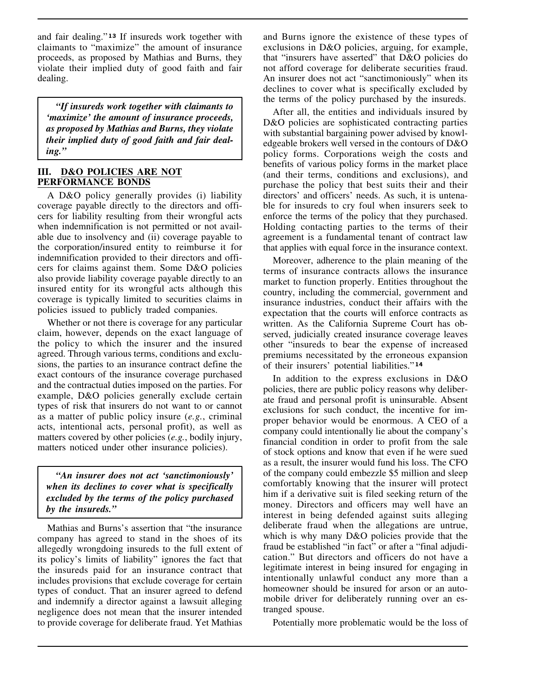and fair dealing." **<sup>13</sup>** If insureds work together with claimants to "maximize" the amount of insurance proceeds, as proposed by Mathias and Burns, they violate their implied duty of good faith and fair dealing.

*"If insureds work together with claimants to 'maximize' the amount of insurance proceeds, as proposed by Mathias and Burns, they violate their implied duty of good faith and fair dealing."*

## **III. D&O POLICIES ARE NOT PERFORMANCE BONDS**

A D&O policy generally provides (i) liability coverage payable directly to the directors and officers for liability resulting from their wrongful acts when indemnification is not permitted or not available due to insolvency and (ii) coverage payable to the corporation/insured entity to reimburse it for indemnification provided to their directors and officers for claims against them. Some D&O policies also provide liability coverage payable directly to an insured entity for its wrongful acts although this coverage is typically limited to securities claims in policies issued to publicly traded companies.

Whether or not there is coverage for any particular claim, however, depends on the exact language of the policy to which the insurer and the insured agreed. Through various terms, conditions and exclusions, the parties to an insurance contract define the exact contours of the insurance coverage purchased and the contractual duties imposed on the parties. For example, D&O policies generally exclude certain types of risk that insurers do not want to or cannot as a matter of public policy insure (*e.g.*, criminal acts, intentional acts, personal profit), as well as matters covered by other policies (*e.g.*, bodily injury, matters noticed under other insurance policies).

*"An insurer does not act 'sanctimoniously' when its declines to cover what is specifically excluded by the terms of the policy purchased by the insureds."*

Mathias and Burns's assertion that "the insurance company has agreed to stand in the shoes of its allegedly wrongdoing insureds to the full extent of its policy's limits of liability" ignores the fact that the insureds paid for an insurance contract that includes provisions that exclude coverage for certain types of conduct. That an insurer agreed to defend and indemnify a director against a lawsuit alleging negligence does not mean that the insurer intended to provide coverage for deliberate fraud. Yet Mathias and Burns ignore the existence of these types of exclusions in D&O policies, arguing, for example, that "insurers have asserted" that D&O policies do not afford coverage for deliberate securities fraud. An insurer does not act "sanctimoniously" when its declines to cover what is specifically excluded by the terms of the policy purchased by the insureds.

After all, the entities and individuals insured by D&O policies are sophisticated contracting parties with substantial bargaining power advised by knowledgeable brokers well versed in the contours of D&O policy forms. Corporations weigh the costs and benefits of various policy forms in the market place (and their terms, conditions and exclusions), and purchase the policy that best suits their and their directors' and officers' needs. As such, it is untenable for insureds to cry foul when insurers seek to enforce the terms of the policy that they purchased. Holding contacting parties to the terms of their agreement is a fundamental tenant of contract law that applies with equal force in the insurance context.

Moreover, adherence to the plain meaning of the terms of insurance contracts allows the insurance market to function properly. Entities throughout the country, including the commercial, government and insurance industries, conduct their affairs with the expectation that the courts will enforce contracts as written. As the California Supreme Court has observed, judicially created insurance coverage leaves other "insureds to bear the expense of increased premiums necessitated by the erroneous expansion of their insurers' potential liabilities."**<sup>14</sup>**

In addition to the express exclusions in D&O policies, there are public policy reasons why deliberate fraud and personal profit is uninsurable. Absent exclusions for such conduct, the incentive for improper behavior would be enormous. A CEO of a company could intentionally lie about the company's financial condition in order to profit from the sale of stock options and know that even if he were sued as a result, the insurer would fund his loss. The CFO of the company could embezzle \$5 million and sleep comfortably knowing that the insurer will protect him if a derivative suit is filed seeking return of the money. Directors and officers may well have an interest in being defended against suits alleging deliberate fraud when the allegations are untrue, which is why many D&O policies provide that the fraud be established "in fact" or after a "final adjudication." But directors and officers do not have a legitimate interest in being insured for engaging in intentionally unlawful conduct any more than a homeowner should be insured for arson or an automobile driver for deliberately running over an estranged spouse.

Potentially more problematic would be the loss of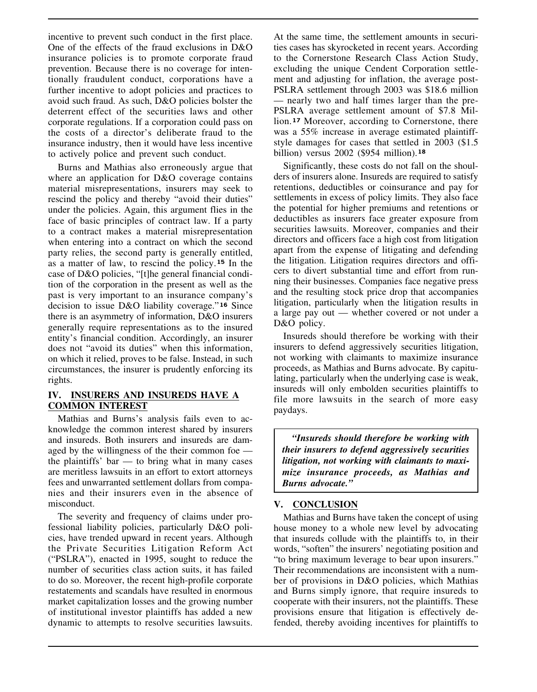incentive to prevent such conduct in the first place. One of the effects of the fraud exclusions in D&O insurance policies is to promote corporate fraud prevention. Because there is no coverage for intentionally fraudulent conduct, corporations have a further incentive to adopt policies and practices to avoid such fraud. As such, D&O policies bolster the deterrent effect of the securities laws and other corporate regulations. If a corporation could pass on the costs of a director's deliberate fraud to the insurance industry, then it would have less incentive to actively police and prevent such conduct.

Burns and Mathias also erroneously argue that where an application for D&O coverage contains material misrepresentations, insurers may seek to rescind the policy and thereby "avoid their duties" under the policies. Again, this argument flies in the face of basic principles of contract law. If a party to a contract makes a material misrepresentation when entering into a contract on which the second party relies, the second party is generally entitled, as a matter of law, to rescind the policy.**15** In the case of D&O policies, "[t]he general financial condition of the corporation in the present as well as the past is very important to an insurance company's decision to issue D&O liability coverage." **<sup>16</sup>** Since there is an asymmetry of information, D&O insurers generally require representations as to the insured entity's financial condition. Accordingly, an insurer does not "avoid its duties" when this information, on which it relied, proves to be false. Instead, in such circumstances, the insurer is prudently enforcing its rights.

### **IV. INSURERS AND INSUREDS HAVE A COMMON INTEREST**

Mathias and Burns's analysis fails even to acknowledge the common interest shared by insurers and insureds. Both insurers and insureds are damaged by the willingness of the their common foe the plaintiffs' bar — to bring what in many cases are meritless lawsuits in an effort to extort attorneys fees and unwarranted settlement dollars from companies and their insurers even in the absence of misconduct.

The severity and frequency of claims under professional liability policies, particularly D&O policies, have trended upward in recent years. Although the Private Securities Litigation Reform Act ("PSLRA"), enacted in 1995, sought to reduce the number of securities class action suits, it has failed to do so. Moreover, the recent high-profile corporate restatements and scandals have resulted in enormous market capitalization losses and the growing number of institutional investor plaintiffs has added a new dynamic to attempts to resolve securities lawsuits.

At the same time, the settlement amounts in securities cases has skyrocketed in recent years. According to the Cornerstone Research Class Action Study, excluding the unique Cendent Corporation settlement and adjusting for inflation, the average post-PSLRA settlement through 2003 was \$18.6 million — nearly two and half times larger than the pre-PSLRA average settlement amount of \$7.8 Million.<sup>17</sup> Moreover, according to Cornerstone, there was a 55% increase in average estimated plaintiffstyle damages for cases that settled in 2003 (\$1.5 billion) versus 2002 (\$954 million).**<sup>18</sup>**

Significantly, these costs do not fall on the shoulders of insurers alone. Insureds are required to satisfy retentions, deductibles or coinsurance and pay for settlements in excess of policy limits. They also face the potential for higher premiums and retentions or deductibles as insurers face greater exposure from securities lawsuits. Moreover, companies and their directors and officers face a high cost from litigation apart from the expense of litigating and defending the litigation. Litigation requires directors and officers to divert substantial time and effort from running their businesses. Companies face negative press and the resulting stock price drop that accompanies litigation, particularly when the litigation results in a large pay out — whether covered or not under a D&O policy.

Insureds should therefore be working with their insurers to defend aggressively securities litigation, not working with claimants to maximize insurance proceeds, as Mathias and Burns advocate. By capitulating, particularly when the underlying case is weak, insureds will only embolden securities plaintiffs to file more lawsuits in the search of more easy paydays.

*"Insureds should therefore be working with their insurers to defend aggressively securities litigation, not working with claimants to maximize insurance proceeds, as Mathias and Burns advocate."*

# **V. CONCLUSION**

Mathias and Burns have taken the concept of using house money to a whole new level by advocating that insureds collude with the plaintiffs to, in their words, "soften" the insurers' negotiating position and "to bring maximum leverage to bear upon insurers." Their recommendations are inconsistent with a number of provisions in D&O policies, which Mathias and Burns simply ignore, that require insureds to cooperate with their insurers, not the plaintiffs. These provisions ensure that litigation is effectively defended, thereby avoiding incentives for plaintiffs to